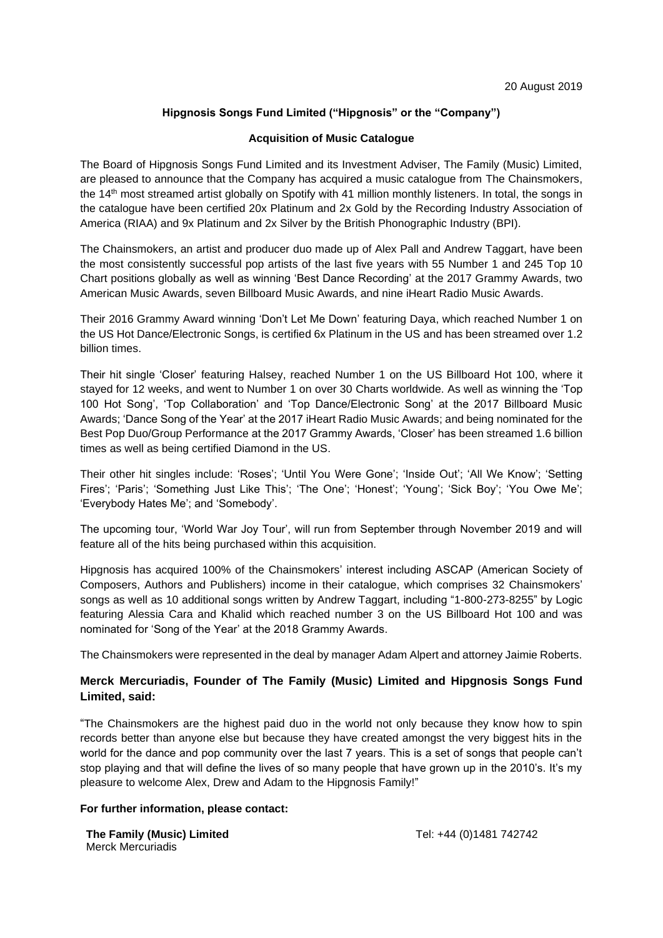# **Hipgnosis Songs Fund Limited ("Hipgnosis" or the "Company")**

### **Acquisition of Music Catalogue**

The Board of Hipgnosis Songs Fund Limited and its Investment Adviser, The Family (Music) Limited, are pleased to announce that the Company has acquired a music catalogue from The Chainsmokers, the 14<sup>th</sup> most streamed artist globally on Spotify with 41 million monthly listeners. In total, the songs in the catalogue have been certified 20x Platinum and 2x Gold by the Recording Industry Association of America (RIAA) and 9x Platinum and 2x Silver by the British Phonographic Industry (BPI).

The Chainsmokers, an artist and producer duo made up of Alex Pall and Andrew Taggart, have been the most consistently successful pop artists of the last five years with 55 Number 1 and 245 Top 10 Chart positions globally as well as winning 'Best Dance Recording' at the 2017 Grammy Awards, two American Music Awards, seven Billboard Music Awards, and nine iHeart Radio Music Awards.

Their 2016 Grammy Award winning 'Don't Let Me Down' featuring Daya, which reached Number 1 on the US Hot Dance/Electronic Songs, is certified 6x Platinum in the US and has been streamed over 1.2 billion times.

Their hit single 'Closer' featuring Halsey, reached Number 1 on the US Billboard Hot 100, where it stayed for 12 weeks, and went to Number 1 on over 30 Charts worldwide. As well as winning the 'Top 100 Hot Song', 'Top Collaboration' and 'Top Dance/Electronic Song' at the 2017 Billboard Music Awards; 'Dance Song of the Year' at the 2017 iHeart Radio Music Awards; and being nominated for the Best Pop Duo/Group Performance at the 2017 Grammy Awards, 'Closer' has been streamed 1.6 billion times as well as being certified Diamond in the US.

Their other hit singles include: 'Roses'; 'Until You Were Gone'; 'Inside Out'; 'All We Know'; 'Setting Fires'; 'Paris'; 'Something Just Like This'; 'The One'; 'Honest'; 'Young'; 'Sick Boy'; 'You Owe Me'; 'Everybody Hates Me'; and 'Somebody'.

The upcoming tour, 'World War Joy Tour', will run from September through November 2019 and will feature all of the hits being purchased within this acquisition.

Hipgnosis has acquired 100% of the Chainsmokers' interest including ASCAP (American Society of Composers, Authors and Publishers) income in their catalogue, which comprises 32 Chainsmokers' songs as well as 10 additional songs written by Andrew Taggart, including "1-800-273-8255" by Logic featuring Alessia Cara and Khalid which reached number 3 on the US Billboard Hot 100 and was nominated for 'Song of the Year' at the 2018 Grammy Awards.

The Chainsmokers were represented in the deal by manager Adam Alpert and attorney Jaimie Roberts.

## **Merck Mercuriadis, Founder of The Family (Music) Limited and Hipgnosis Songs Fund Limited, said:**

"The Chainsmokers are the highest paid duo in the world not only because they know how to spin records better than anyone else but because they have created amongst the very biggest hits in the world for the dance and pop community over the last 7 years. This is a set of songs that people can't stop playing and that will define the lives of so many people that have grown up in the 2010's. It's my pleasure to welcome Alex, Drew and Adam to the Hipgnosis Family!"

### **For further information, please contact:**

**The Family (Music) Limited** Merck Mercuriadis

Tel: +44 (0)1481 742742